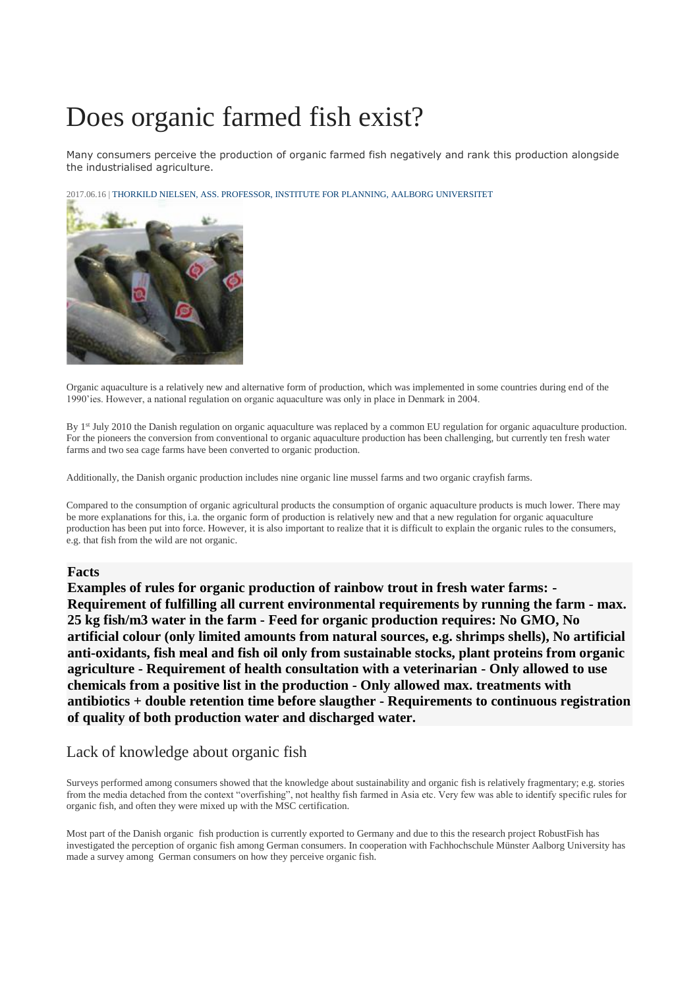## Does organic farmed fish exist?

Many consumers perceive the production of organic farmed fish negatively and rank this production alongside the industrialised agriculture.

2017.06.16 | THORKILD NIELSEN, ASS. PROFESSOR, INSTITUTE FOR PLANNING, AALBORG [UNIVERSITET](mailto:tn@plan.aau.dk)



Organic aquaculture is a relatively new and alternative form of production, which was implemented in some countries during end of the 1990'ies. However, a national regulation on organic aquaculture was only in place in Denmark in 2004.

By 1<sup>st</sup> July 2010 the Danish regulation on organic aquaculture was replaced by a common EU regulation for organic aquaculture production. For the pioneers the conversion from conventional to organic aquaculture production has been challenging, but currently ten fresh water farms and two sea cage farms have been converted to organic production.

Additionally, the Danish organic production includes nine organic line mussel farms and two organic crayfish farms.

Compared to the consumption of organic agricultural products the consumption of organic aquaculture products is much lower. There may be more explanations for this, i.a. the organic form of production is relatively new and that a new regulation for organic aquaculture production has been put into force. However, it is also important to realize that it is difficult to explain the organic rules to the consumers, e.g. that fish from the wild are not organic.

## **Facts**

**Examples of rules for organic production of rainbow trout in fresh water farms: - Requirement of fulfilling all current environmental requirements by running the farm - max. 25 kg fish/m3 water in the farm - Feed for organic production requires: No GMO, No artificial colour (only limited amounts from natural sources, e.g. shrimps shells), No artificial anti-oxidants, fish meal and fish oil only from sustainable stocks, plant proteins from organic agriculture - Requirement of health consultation with a veterinarian - Only allowed to use chemicals from a positive list in the production - Only allowed max. treatments with antibiotics + double retention time before slaugther - Requirements to continuous registration of quality of both production water and discharged water.**

## Lack of knowledge about organic fish

Surveys performed among consumers showed that the knowledge about sustainability and organic fish is relatively fragmentary; e.g. stories from the media detached from the context "overfishing", not healthy fish farmed in Asia etc. Very few was able to identify specific rules for organic fish, and often they were mixed up with the MSC certification.

Most part of the Danish organic fish production is currently exported to Germany and due to this the research project RobustFish has investigated the perception of organic fish among German consumers. In cooperation with Fachhochschule Münster Aalborg University has made a survey among German consumers on how they perceive organic fish.